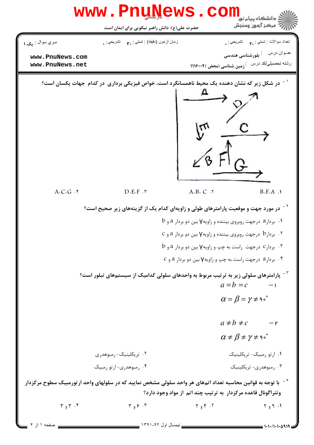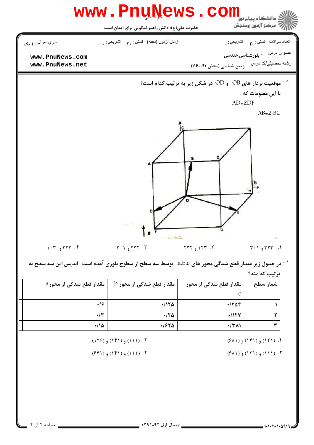

در جدول زیر مقدار قطع شدگی محور های a،b،c، توسط سه سطح از سطوح بلوری آمده است . اندیس این سه سطح به  $^{-\beta}$ ترتيب كدامند؟

| <sub>ا</sub> مقدار قطع شدگی از محور a | $\,\mathrm{b}\,$ مقدار قطع شدگی از محور | مقدار قطع شدگی از محور | شمار سطح |
|---------------------------------------|-----------------------------------------|------------------------|----------|
|                                       |                                         | C                      |          |
| $\cdot$ /۶                            | $\cdot$ /1٢۵                            | $\cdot$ $706$          |          |
| $\cdot/\tau$                          | $\cdot$ /٢۵                             | $\cdot$ /1۲۷           |          |
| $\cdot/\sqrt{2}$                      | $\cdot$ $550$                           | $\cdot$ /٣٨١           |          |

 $(54)$  (151)  $(15)$  (151) (184)

 $(51)$  (111) و (۱۲۱) و (۱۳

 $(15)$  (14)  $(15)$  (11)  $\cdot$  5

 $(f(f))$  (111)  $(e(f))$  (15) +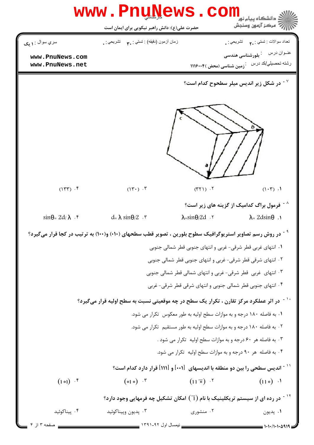